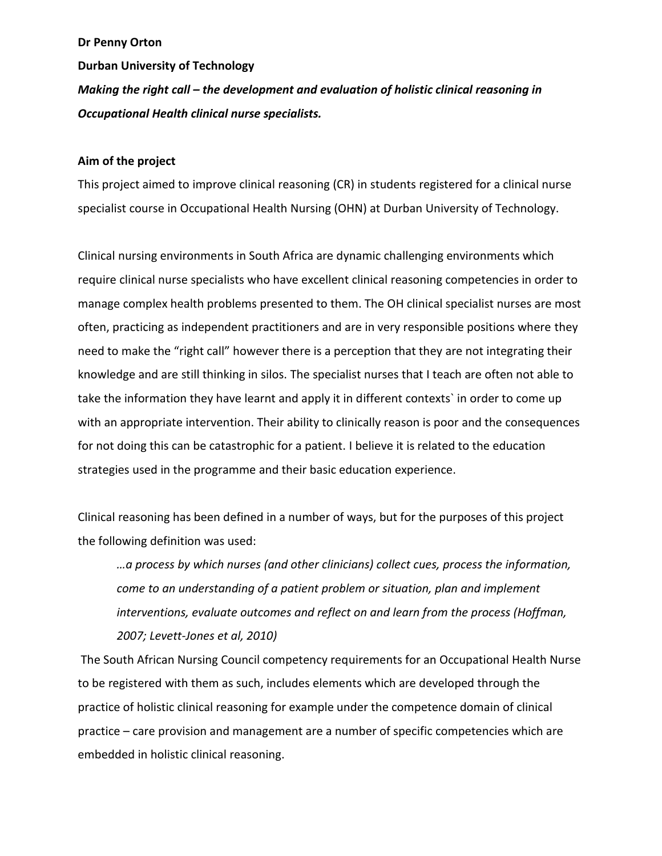### **Dr Penny Orton**

**Durban University of Technology**

*Making the right call – the development and evaluation of holistic clinical reasoning in Occupational Health clinical nurse specialists.*

### **Aim of the project**

This project aimed to improve clinical reasoning (CR) in students registered for a clinical nurse specialist course in Occupational Health Nursing (OHN) at Durban University of Technology.

Clinical nursing environments in South Africa are dynamic challenging environments which require clinical nurse specialists who have excellent clinical reasoning competencies in order to manage complex health problems presented to them. The OH clinical specialist nurses are most often, practicing as independent practitioners and are in very responsible positions where they need to make the "right call" however there is a perception that they are not integrating their knowledge and are still thinking in silos. The specialist nurses that I teach are often not able to take the information they have learnt and apply it in different contexts` in order to come up with an appropriate intervention. Their ability to clinically reason is poor and the consequences for not doing this can be catastrophic for a patient. I believe it is related to the education strategies used in the programme and their basic education experience.

Clinical reasoning has been defined in a number of ways, but for the purposes of this project the following definition was used:

*…a process by which nurses (and other clinicians) collect cues, process the information, come to an understanding of a patient problem or situation, plan and implement interventions, evaluate outcomes and reflect on and learn from the process (Hoffman, 2007; Levett-Jones et al, 2010)*

The South African Nursing Council competency requirements for an Occupational Health Nurse to be registered with them as such, includes elements which are developed through the practice of holistic clinical reasoning for example under the competence domain of clinical practice – care provision and management are a number of specific competencies which are embedded in holistic clinical reasoning.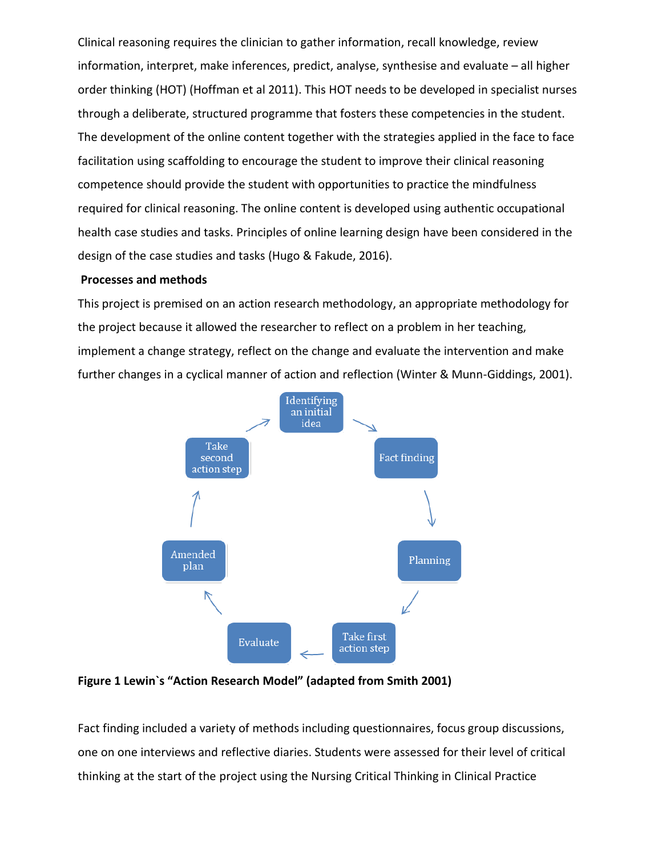Clinical reasoning requires the clinician to gather information, recall knowledge, review information, interpret, make inferences, predict, analyse, synthesise and evaluate – all higher order thinking (HOT) (Hoffman et al 2011). This HOT needs to be developed in specialist nurses through a deliberate, structured programme that fosters these competencies in the student. The development of the online content together with the strategies applied in the face to face facilitation using scaffolding to encourage the student to improve their clinical reasoning competence should provide the student with opportunities to practice the mindfulness required for clinical reasoning. The online content is developed using authentic occupational health case studies and tasks. Principles of online learning design have been considered in the design of the case studies and tasks (Hugo & Fakude, 2016).

# **Processes and methods**

This project is premised on an action research methodology, an appropriate methodology for the project because it allowed the researcher to reflect on a problem in her teaching, implement a change strategy, reflect on the change and evaluate the intervention and make further changes in a cyclical manner of action and reflection (Winter & Munn-Giddings, 2001).



**Figure 1 Lewin`s "Action Research Model" (adapted from Smith 2001)**

Fact finding included a variety of methods including questionnaires, focus group discussions, one on one interviews and reflective diaries. Students were assessed for their level of critical thinking at the start of the project using the Nursing Critical Thinking in Clinical Practice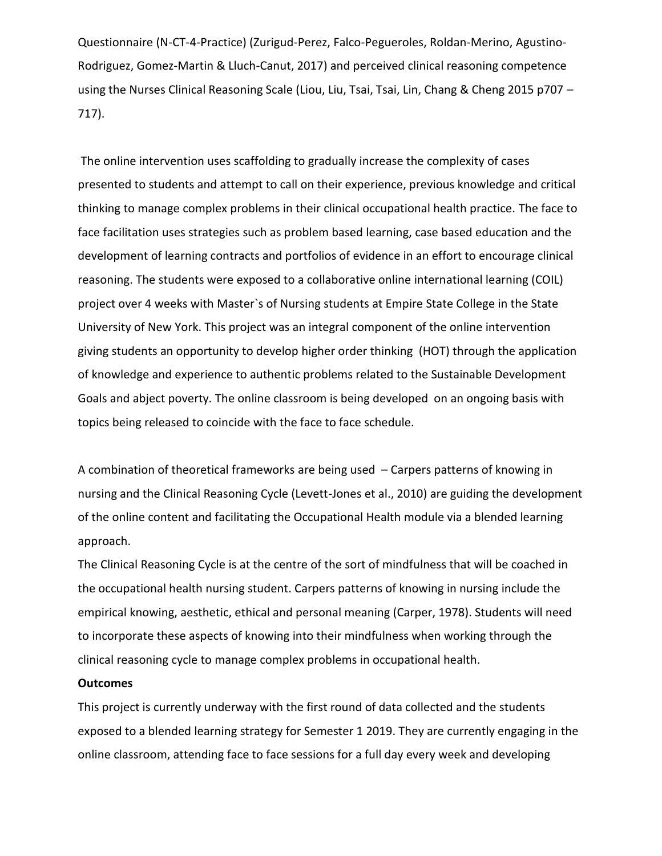Questionnaire (N-CT-4-Practice) (Zurigud-Perez, Falco-Pegueroles, Roldan-Merino, Agustino-Rodriguez, Gomez-Martin & Lluch-Canut, 2017) and perceived clinical reasoning competence using the Nurses Clinical Reasoning Scale (Liou, Liu, Tsai, Tsai, Lin, Chang & Cheng 2015 p707 – 717).

The online intervention uses scaffolding to gradually increase the complexity of cases presented to students and attempt to call on their experience, previous knowledge and critical thinking to manage complex problems in their clinical occupational health practice. The face to face facilitation uses strategies such as problem based learning, case based education and the development of learning contracts and portfolios of evidence in an effort to encourage clinical reasoning. The students were exposed to a collaborative online international learning (COIL) project over 4 weeks with Master`s of Nursing students at Empire State College in the State University of New York. This project was an integral component of the online intervention giving students an opportunity to develop higher order thinking (HOT) through the application of knowledge and experience to authentic problems related to the Sustainable Development Goals and abject poverty. The online classroom is being developed on an ongoing basis with topics being released to coincide with the face to face schedule.

A combination of theoretical frameworks are being used – Carpers patterns of knowing in nursing and the Clinical Reasoning Cycle (Levett-Jones et al., 2010) are guiding the development of the online content and facilitating the Occupational Health module via a blended learning approach.

The Clinical Reasoning Cycle is at the centre of the sort of mindfulness that will be coached in the occupational health nursing student. Carpers patterns of knowing in nursing include the empirical knowing, aesthetic, ethical and personal meaning (Carper, 1978). Students will need to incorporate these aspects of knowing into their mindfulness when working through the clinical reasoning cycle to manage complex problems in occupational health.

## **Outcomes**

This project is currently underway with the first round of data collected and the students exposed to a blended learning strategy for Semester 1 2019. They are currently engaging in the online classroom, attending face to face sessions for a full day every week and developing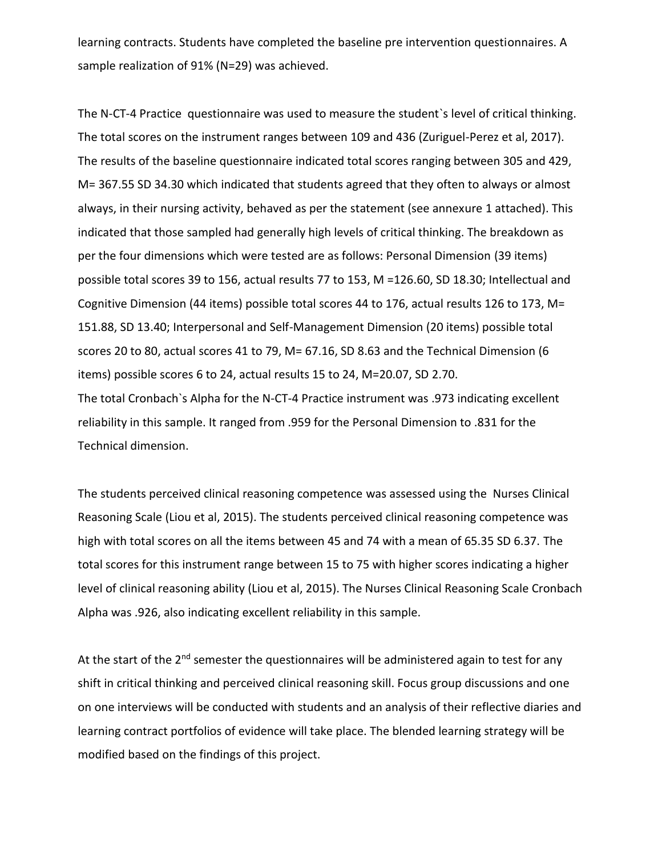learning contracts. Students have completed the baseline pre intervention questionnaires. A sample realization of 91% (N=29) was achieved.

The N-CT-4 Practice questionnaire was used to measure the student`s level of critical thinking. The total scores on the instrument ranges between 109 and 436 (Zuriguel-Perez et al, 2017). The results of the baseline questionnaire indicated total scores ranging between 305 and 429, M= 367.55 SD 34.30 which indicated that students agreed that they often to always or almost always, in their nursing activity, behaved as per the statement (see annexure 1 attached). This indicated that those sampled had generally high levels of critical thinking. The breakdown as per the four dimensions which were tested are as follows: Personal Dimension (39 items) possible total scores 39 to 156, actual results 77 to 153, M =126.60, SD 18.30; Intellectual and Cognitive Dimension (44 items) possible total scores 44 to 176, actual results 126 to 173, M= 151.88, SD 13.40; Interpersonal and Self-Management Dimension (20 items) possible total scores 20 to 80, actual scores 41 to 79, M= 67.16, SD 8.63 and the Technical Dimension (6 items) possible scores 6 to 24, actual results 15 to 24, M=20.07, SD 2.70. The total Cronbach`s Alpha for the N-CT-4 Practice instrument was .973 indicating excellent reliability in this sample. It ranged from .959 for the Personal Dimension to .831 for the Technical dimension.

The students perceived clinical reasoning competence was assessed using the Nurses Clinical Reasoning Scale (Liou et al, 2015). The students perceived clinical reasoning competence was high with total scores on all the items between 45 and 74 with a mean of 65.35 SD 6.37. The total scores for this instrument range between 15 to 75 with higher scores indicating a higher level of clinical reasoning ability (Liou et al, 2015). The Nurses Clinical Reasoning Scale Cronbach Alpha was .926, also indicating excellent reliability in this sample.

At the start of the  $2^{nd}$  semester the questionnaires will be administered again to test for any shift in critical thinking and perceived clinical reasoning skill. Focus group discussions and one on one interviews will be conducted with students and an analysis of their reflective diaries and learning contract portfolios of evidence will take place. The blended learning strategy will be modified based on the findings of this project.